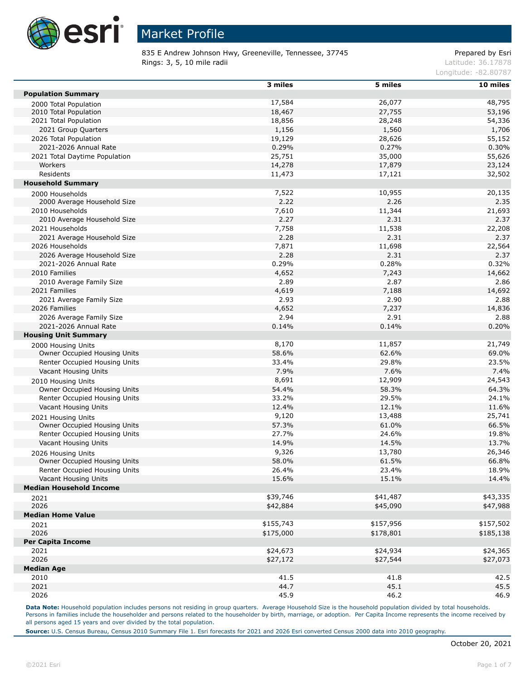

835 E Andrew Johnson Hwy, Greeneville, Tennessee, 37745 Prepared by Esri Rings: 3, 5, 10 mile radii and the contract of the contract of the contract of the contract of the contract of the contract of the contract of the contract of the contract of the contract of the contract of the contract of

Longitude: -82.80787

|                                | 3 miles   | 5 miles   | $10$ miles |
|--------------------------------|-----------|-----------|------------|
| <b>Population Summary</b>      |           |           |            |
| 2000 Total Population          | 17,584    | 26,077    | 48,795     |
| 2010 Total Population          | 18,467    | 27,755    | 53,196     |
| 2021 Total Population          | 18,856    | 28,248    | 54,336     |
| 2021 Group Quarters            | 1,156     | 1,560     | 1,706      |
| 2026 Total Population          | 19,129    | 28,626    | 55,152     |
| 2021-2026 Annual Rate          | 0.29%     | 0.27%     | 0.30%      |
| 2021 Total Daytime Population  | 25,751    | 35,000    | 55,626     |
| Workers                        | 14,278    | 17,879    | 23,124     |
| Residents                      | 11,473    | 17,121    | 32,502     |
| <b>Household Summary</b>       |           |           |            |
| 2000 Households                | 7,522     | 10,955    | 20,135     |
| 2000 Average Household Size    | 2.22      | 2.26      | 2.35       |
| 2010 Households                | 7,610     | 11,344    | 21,693     |
| 2010 Average Household Size    | 2.27      | 2.31      | 2.37       |
| 2021 Households                | 7,758     | 11,538    | 22,208     |
| 2021 Average Household Size    | 2.28      | 2.31      | 2.37       |
| 2026 Households                | 7,871     | 11,698    | 22,564     |
| 2026 Average Household Size    | 2.28      | 2.31      | 2.37       |
| 2021-2026 Annual Rate          | 0.29%     | 0.28%     | 0.32%      |
| 2010 Families                  | 4,652     | 7,243     | 14,662     |
| 2010 Average Family Size       | 2.89      | 2.87      | 2.86       |
| 2021 Families                  | 4,619     | 7,188     | 14,692     |
| 2021 Average Family Size       | 2.93      | 2.90      | 2.88       |
| 2026 Families                  | 4,652     | 7,237     | 14,836     |
| 2026 Average Family Size       | 2.94      | 2.91      | 2.88       |
| 2021-2026 Annual Rate          | 0.14%     | 0.14%     | 0.20%      |
| <b>Housing Unit Summary</b>    |           |           |            |
| 2000 Housing Units             | 8,170     | 11,857    | 21,749     |
| Owner Occupied Housing Units   | 58.6%     | 62.6%     | 69.0%      |
| Renter Occupied Housing Units  | 33.4%     | 29.8%     | 23.5%      |
| Vacant Housing Units           | 7.9%      | 7.6%      | 7.4%       |
| 2010 Housing Units             | 8,691     | 12,909    | 24,543     |
| Owner Occupied Housing Units   | 54.4%     | 58.3%     | 64.3%      |
| Renter Occupied Housing Units  | 33.2%     | 29.5%     | 24.1%      |
| Vacant Housing Units           | 12.4%     | 12.1%     | 11.6%      |
| 2021 Housing Units             | 9,120     | 13,488    | 25,741     |
| Owner Occupied Housing Units   | 57.3%     | 61.0%     | 66.5%      |
| Renter Occupied Housing Units  | 27.7%     | 24.6%     | 19.8%      |
| Vacant Housing Units           | 14.9%     | 14.5%     | 13.7%      |
| 2026 Housing Units             | 9,326     | 13,780    | 26,346     |
| Owner Occupied Housing Units   | 58.0%     | 61.5%     | 66.8%      |
| Renter Occupied Housing Units  | 26.4%     | 23.4%     | 18.9%      |
| Vacant Housing Units           | 15.6%     | 15.1%     | 14.4%      |
| <b>Median Household Income</b> |           |           |            |
| 2021                           | \$39,746  | \$41,487  | \$43,335   |
| 2026                           | \$42,884  | \$45,090  | \$47,988   |
| <b>Median Home Value</b>       |           |           |            |
| 2021                           | \$155,743 | \$157,956 | \$157,502  |
| 2026                           | \$175,000 | \$178,801 | \$185,138  |
| <b>Per Capita Income</b>       |           |           |            |
| 2021                           | \$24,673  | \$24,934  | \$24,365   |
| 2026                           | \$27,172  | \$27,544  | \$27,073   |
| <b>Median Age</b>              |           |           |            |
| 2010                           | 41.5      | 41.8      | 42.5       |
| 2021                           | 44.7      | 45.1      | 45.5       |
| 2026                           | 45.9      | 46.2      | 46.9       |

Data Note: Household population includes persons not residing in group quarters. Average Household Size is the household population divided by total households. Persons in families include the householder and persons related to the householder by birth, marriage, or adoption. Per Capita Income represents the income received by all persons aged 15 years and over divided by the total population.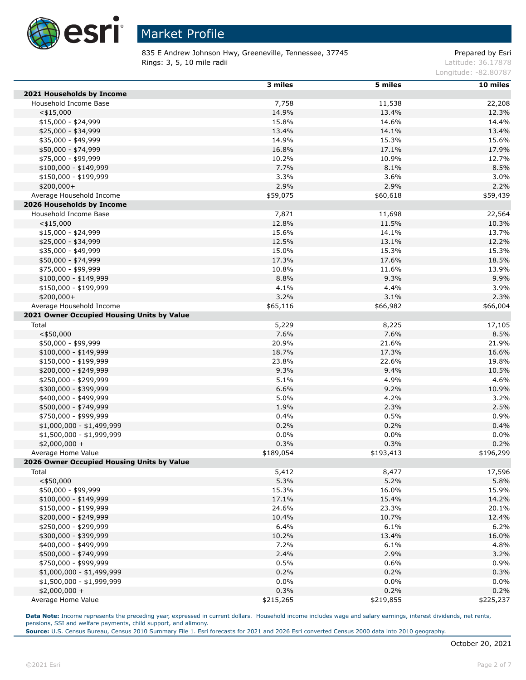

835 E Andrew Johnson Hwy, Greeneville, Tennessee, 37745 Prepared by Esri **Rings: 3, 5, 10 mile radii** Latitude: 36.17878

Longitude: -82.80787

|                                            | 3 miles   | 5 miles   | 10 miles       |
|--------------------------------------------|-----------|-----------|----------------|
| 2021 Households by Income                  |           |           |                |
| Household Income Base                      | 7,758     | 11,538    | 22,208         |
| $<$ \$15,000                               | 14.9%     | 13.4%     | 12.3%          |
| $$15,000 - $24,999$                        | 15.8%     | 14.6%     | 14.4%          |
| \$25,000 - \$34,999                        | 13.4%     | 14.1%     | 13.4%          |
| \$35,000 - \$49,999                        | 14.9%     | 15.3%     | 15.6%          |
| \$50,000 - \$74,999                        | 16.8%     | 17.1%     | 17.9%          |
| \$75,000 - \$99,999                        | 10.2%     | 10.9%     | 12.7%          |
| $$100,000 - $149,999$                      | 7.7%      | 8.1%      | 8.5%           |
| \$150,000 - \$199,999                      | 3.3%      | 3.6%      | 3.0%           |
| \$200,000+                                 | 2.9%      | 2.9%      | 2.2%           |
| Average Household Income                   | \$59,075  | \$60,618  | \$59,439       |
| 2026 Households by Income                  |           |           |                |
| Household Income Base                      | 7,871     | 11,698    | 22,564         |
| $<$ \$15,000                               | 12.8%     | 11.5%     | 10.3%          |
| $$15,000 - $24,999$                        | 15.6%     | 14.1%     | 13.7%          |
| \$25,000 - \$34,999                        | 12.5%     | 13.1%     | 12.2%          |
| \$35,000 - \$49,999                        | 15.0%     | 15.3%     | 15.3%          |
| \$50,000 - \$74,999                        | 17.3%     | 17.6%     |                |
| \$75,000 - \$99,999                        | 10.8%     | 11.6%     | 18.5%<br>13.9% |
| $$100,000 - $149,999$                      | 8.8%      |           |                |
|                                            |           | 9.3%      | 9.9%           |
| \$150,000 - \$199,999                      | 4.1%      | 4.4%      | 3.9%           |
| $$200,000+$                                | 3.2%      | 3.1%      | 2.3%           |
| Average Household Income                   | \$65,116  | \$66,982  | \$66,004       |
| 2021 Owner Occupied Housing Units by Value |           |           |                |
| Total                                      | 5,229     | 8,225     | 17,105         |
| $<$ \$50,000                               | 7.6%      | 7.6%      | 8.5%           |
| \$50,000 - \$99,999                        | 20.9%     | 21.6%     | 21.9%          |
| $$100,000 - $149,999$                      | 18.7%     | 17.3%     | 16.6%          |
| \$150,000 - \$199,999                      | 23.8%     | 22.6%     | 19.8%          |
| \$200,000 - \$249,999                      | 9.3%      | 9.4%      | 10.5%          |
| \$250,000 - \$299,999                      | 5.1%      | 4.9%      | 4.6%           |
| \$300,000 - \$399,999                      | 6.6%      | 9.2%      | 10.9%          |
| \$400,000 - \$499,999                      | 5.0%      | 4.2%      | 3.2%           |
| \$500,000 - \$749,999                      | 1.9%      | 2.3%      | 2.5%           |
| \$750,000 - \$999,999                      | 0.4%      | 0.5%      | 0.9%           |
| $$1,000,000 - $1,499,999$                  | 0.2%      | 0.2%      | 0.4%           |
| \$1,500,000 - \$1,999,999                  | 0.0%      | 0.0%      | 0.0%           |
| $$2,000,000 +$                             | 0.3%      | 0.3%      | 0.2%           |
| Average Home Value                         | \$189,054 | \$193,413 | \$196,299      |
| 2026 Owner Occupied Housing Units by Value |           |           |                |
| Total                                      | 5,412     | 8,477     | 17,596         |
| $<$ \$50,000                               | 5.3%      | 5.2%      | 5.8%           |
| \$50,000 - \$99,999                        | 15.3%     | 16.0%     | 15.9%          |
| \$100,000 - \$149,999                      | 17.1%     | 15.4%     | 14.2%          |
| \$150,000 - \$199,999                      | 24.6%     | 23.3%     | 20.1%          |
| \$200,000 - \$249,999                      | 10.4%     | 10.7%     | 12.4%          |
| \$250,000 - \$299,999                      | 6.4%      | 6.1%      | 6.2%           |
| \$300,000 - \$399,999                      | 10.2%     | 13.4%     | 16.0%          |
| \$400,000 - \$499,999                      | 7.2%      | 6.1%      | 4.8%           |
| \$500,000 - \$749,999                      | 2.4%      | 2.9%      | 3.2%           |
| \$750,000 - \$999,999                      | 0.5%      | 0.6%      | 0.9%           |
| $$1,000,000 - $1,499,999$                  | 0.2%      | 0.2%      | 0.3%           |
| \$1,500,000 - \$1,999,999                  | 0.0%      | 0.0%      | 0.0%           |
| $$2,000,000 +$                             | 0.3%      | 0.2%      | 0.2%           |
| Average Home Value                         | \$215,265 | \$219,855 | \$225,237      |

**Data Note:** Income represents the preceding year, expressed in current dollars. Household income includes wage and salary earnings, interest dividends, net rents, pensions, SSI and welfare payments, child support, and alimony.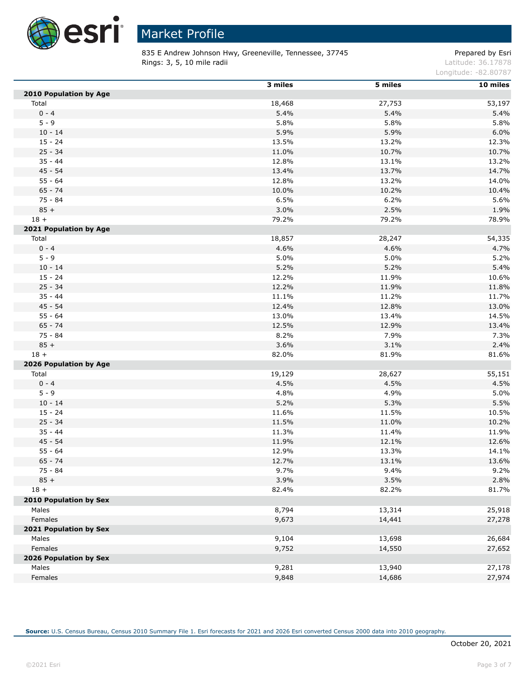

835 E Andrew Johnson Hwy, Greeneville, Tennessee, 37745 Prepared by Esri Rings: 3, 5, 10 mile radii and the contract of the contract of the contract of the contract of the contract of the contract of the contract of the contract of the contract of the contract of the contract of the contract of

Longitude: -82.80787

|                               | 3 miles | 5 miles | 10 miles |
|-------------------------------|---------|---------|----------|
| <b>2010 Population by Age</b> |         |         |          |
| Total                         | 18,468  | 27,753  | 53,197   |
| $0 - 4$                       | 5.4%    | 5.4%    | 5.4%     |
| $5 - 9$                       | 5.8%    | 5.8%    | 5.8%     |
| $10 - 14$                     | 5.9%    | 5.9%    | 6.0%     |
| $15 - 24$                     | 13.5%   | 13.2%   | 12.3%    |
| $25 - 34$                     | 11.0%   | 10.7%   | 10.7%    |
| $35 - 44$                     | 12.8%   | 13.1%   | 13.2%    |
| $45 - 54$                     | 13.4%   | 13.7%   | 14.7%    |
| $55 - 64$                     | 12.8%   | 13.2%   | 14.0%    |
| $65 - 74$                     | 10.0%   | 10.2%   | 10.4%    |
| 75 - 84                       | 6.5%    | 6.2%    | 5.6%     |
| $85 +$                        | 3.0%    | 2.5%    | 1.9%     |
| $18 +$                        | 79.2%   | 79.2%   | 78.9%    |
| 2021 Population by Age        |         |         |          |
| Total                         | 18,857  | 28,247  | 54,335   |
| $0 - 4$                       | 4.6%    | 4.6%    | 4.7%     |
| $5 - 9$                       | 5.0%    | 5.0%    | 5.2%     |
| $10 - 14$                     | 5.2%    | 5.2%    | 5.4%     |
| $15 - 24$                     | 12.2%   | 11.9%   | 10.6%    |
| $25 - 34$                     | 12.2%   | 11.9%   | 11.8%    |
| $35 - 44$                     | 11.1%   | 11.2%   | 11.7%    |
| $45 - 54$                     | 12.4%   | 12.8%   | 13.0%    |
| $55 - 64$                     | 13.0%   | 13.4%   | 14.5%    |
| $65 - 74$                     | 12.5%   | 12.9%   | 13.4%    |
| 75 - 84                       | 8.2%    | 7.9%    | 7.3%     |
| $85 +$                        | 3.6%    | 3.1%    | 2.4%     |
| $18 +$                        | 82.0%   | 81.9%   | 81.6%    |
| 2026 Population by Age        |         |         |          |
| Total                         | 19,129  | 28,627  | 55,151   |
| $0 - 4$                       | 4.5%    | 4.5%    | 4.5%     |
| $5 - 9$                       | 4.8%    | 4.9%    | 5.0%     |
| $10 - 14$                     | 5.2%    | 5.3%    | 5.5%     |
| $15 - 24$                     | 11.6%   | 11.5%   | 10.5%    |
| $25 - 34$                     | 11.5%   | 11.0%   | 10.2%    |
| $35 - 44$                     | 11.3%   | 11.4%   | 11.9%    |
| $45 - 54$                     | 11.9%   | 12.1%   | 12.6%    |
| $55 - 64$                     | 12.9%   | 13.3%   | 14.1%    |
| $65 - 74$                     | 12.7%   | 13.1%   | 13.6%    |
| $75 - 84$                     | 9.7%    | 9.4%    | 9.2%     |
| $85 +$                        | 3.9%    | 3.5%    | 2.8%     |
| $18 +$                        | 82.4%   | 82.2%   | 81.7%    |
| 2010 Population by Sex        |         |         |          |
| Males                         | 8,794   | 13,314  | 25,918   |
| Females                       | 9,673   | 14,441  | 27,278   |
| 2021 Population by Sex        |         |         |          |
| Males                         | 9,104   | 13,698  | 26,684   |
| Females                       | 9,752   | 14,550  | 27,652   |
| 2026 Population by Sex        |         |         |          |
| Males                         | 9,281   | 13,940  | 27,178   |
| Females                       | 9,848   | 14,686  | 27,974   |
|                               |         |         |          |

**Source:** U.S. Census Bureau, Census 2010 Summary File 1. Esri forecasts for 2021 and 2026 Esri converted Census 2000 data into 2010 geography.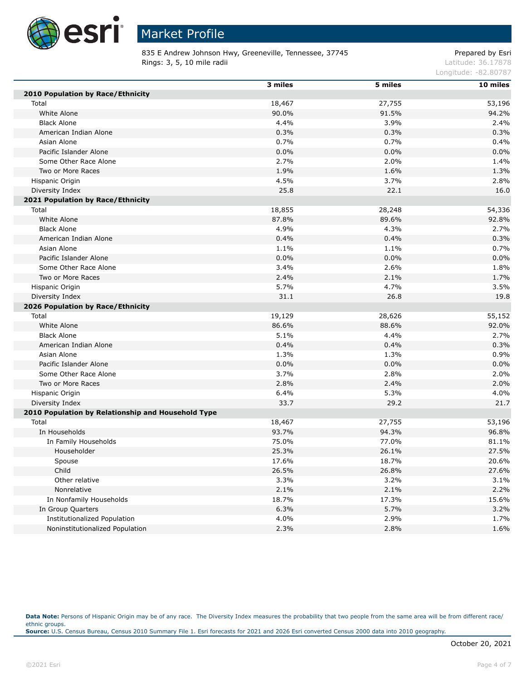

835 E Andrew Johnson Hwy, Greeneville, Tennessee, 37745 Prepared by Esri Rings: 3, 5, 10 mile radii and the contract of the contract of the contract of the contract of the contract of the contract of the contract of the contract of the contract of the contract of the contract of the contract of

Longitude: -82.80787

|                                                    | 3 miles | 5 miles | 10 miles |
|----------------------------------------------------|---------|---------|----------|
| 2010 Population by Race/Ethnicity                  |         |         |          |
| Total                                              | 18,467  | 27,755  | 53,196   |
| White Alone                                        | 90.0%   | 91.5%   | 94.2%    |
| <b>Black Alone</b>                                 | 4.4%    | 3.9%    | 2.4%     |
| American Indian Alone                              | 0.3%    | 0.3%    | 0.3%     |
| Asian Alone                                        | 0.7%    | 0.7%    | 0.4%     |
| Pacific Islander Alone                             | 0.0%    | 0.0%    | 0.0%     |
| Some Other Race Alone                              | 2.7%    | 2.0%    | 1.4%     |
| Two or More Races                                  | 1.9%    | 1.6%    | 1.3%     |
| Hispanic Origin                                    | 4.5%    | 3.7%    | 2.8%     |
| Diversity Index                                    | 25.8    | 22.1    | 16.0     |
| 2021 Population by Race/Ethnicity                  |         |         |          |
| Total                                              | 18,855  | 28,248  | 54,336   |
| White Alone                                        | 87.8%   | 89.6%   | 92.8%    |
| <b>Black Alone</b>                                 | 4.9%    | 4.3%    | 2.7%     |
| American Indian Alone                              | 0.4%    | 0.4%    | 0.3%     |
| Asian Alone                                        | 1.1%    | 1.1%    | 0.7%     |
| Pacific Islander Alone                             | 0.0%    | 0.0%    | 0.0%     |
| Some Other Race Alone                              | 3.4%    | 2.6%    | 1.8%     |
| Two or More Races                                  | 2.4%    | 2.1%    | 1.7%     |
| Hispanic Origin                                    | 5.7%    | 4.7%    | 3.5%     |
| Diversity Index                                    | 31.1    | 26.8    | 19.8     |
| 2026 Population by Race/Ethnicity                  |         |         |          |
| Total                                              | 19,129  | 28,626  | 55,152   |
| White Alone                                        | 86.6%   | 88.6%   | 92.0%    |
| <b>Black Alone</b>                                 | 5.1%    | 4.4%    | 2.7%     |
| American Indian Alone                              | 0.4%    | 0.4%    | 0.3%     |
| Asian Alone                                        | 1.3%    | 1.3%    | 0.9%     |
| Pacific Islander Alone                             | 0.0%    | 0.0%    | 0.0%     |
| Some Other Race Alone                              | 3.7%    | 2.8%    | 2.0%     |
| Two or More Races                                  | 2.8%    | 2.4%    | 2.0%     |
| Hispanic Origin                                    | 6.4%    | 5.3%    | 4.0%     |
| Diversity Index                                    | 33.7    | 29.2    | 21.7     |
| 2010 Population by Relationship and Household Type |         |         |          |
| Total                                              | 18,467  | 27,755  | 53,196   |
| In Households                                      | 93.7%   | 94.3%   | 96.8%    |
| In Family Households                               | 75.0%   | 77.0%   | 81.1%    |
| Householder                                        | 25.3%   | 26.1%   | 27.5%    |
| Spouse                                             | 17.6%   | 18.7%   | 20.6%    |
| Child                                              | 26.5%   | 26.8%   | 27.6%    |
| Other relative                                     | 3.3%    | 3.2%    | 3.1%     |
| Nonrelative                                        | 2.1%    | 2.1%    | 2.2%     |
| In Nonfamily Households                            | 18.7%   | 17.3%   | 15.6%    |
| In Group Quarters                                  | 6.3%    | 5.7%    | 3.2%     |
| <b>Institutionalized Population</b>                | 4.0%    | 2.9%    | 1.7%     |
| Noninstitutionalized Population                    | 2.3%    | 2.8%    | 1.6%     |

Data Note: Persons of Hispanic Origin may be of any race. The Diversity Index measures the probability that two people from the same area will be from different race/ ethnic groups. **Source:** U.S. Census Bureau, Census 2010 Summary File 1. Esri forecasts for 2021 and 2026 Esri converted Census 2000 data into 2010 geography.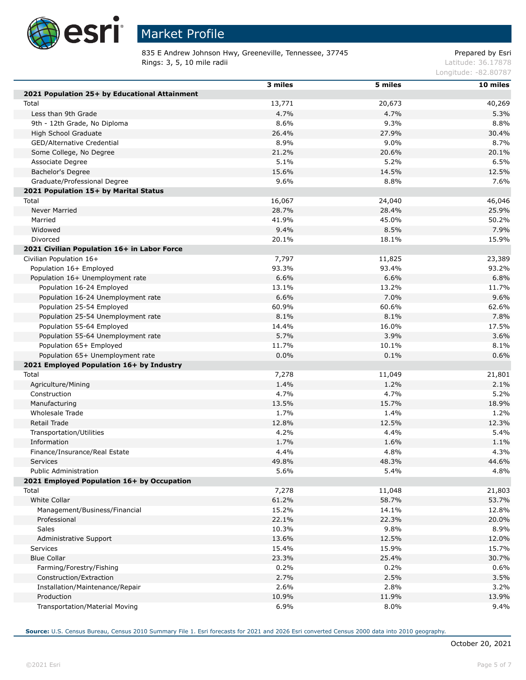

Г

Г

## Market Profile

835 E Andrew Johnson Hwy, Greeneville, Tennessee, 37745 Prepared by Esri Rings: 3, 5, 10 mile radii and the contract of the contract of the contract of the contract of the contract of the contract of the contract of the contract of the contract of the contract of the contract of the contract of

Longitude: -82.80787

|                                               | 3 miles | 5 miles | 10 miles |
|-----------------------------------------------|---------|---------|----------|
| 2021 Population 25+ by Educational Attainment |         |         |          |
| Total                                         | 13,771  | 20,673  | 40,269   |
| Less than 9th Grade                           | 4.7%    | 4.7%    | 5.3%     |
| 9th - 12th Grade, No Diploma                  | 8.6%    | 9.3%    | 8.8%     |
| High School Graduate                          | 26.4%   | 27.9%   | 30.4%    |
| GED/Alternative Credential                    | 8.9%    | 9.0%    | 8.7%     |
|                                               | 21.2%   | 20.6%   | 20.1%    |
| Some College, No Degree                       | 5.1%    |         |          |
| Associate Degree                              |         | 5.2%    | 6.5%     |
| Bachelor's Degree                             | 15.6%   | 14.5%   | 12.5%    |
| Graduate/Professional Degree                  | 9.6%    | 8.8%    | 7.6%     |
| 2021 Population 15+ by Marital Status         |         |         |          |
| Total                                         | 16,067  | 24,040  | 46,046   |
| Never Married                                 | 28.7%   | 28.4%   | 25.9%    |
| Married                                       | 41.9%   | 45.0%   | 50.2%    |
| Widowed                                       | 9.4%    | 8.5%    | 7.9%     |
| Divorced                                      | 20.1%   | 18.1%   | 15.9%    |
| 2021 Civilian Population 16+ in Labor Force   |         |         |          |
| Civilian Population 16+                       | 7,797   | 11,825  | 23,389   |
| Population 16+ Employed                       | 93.3%   | 93.4%   | 93.2%    |
| Population 16+ Unemployment rate              | 6.6%    | 6.6%    | 6.8%     |
| Population 16-24 Employed                     | 13.1%   | 13.2%   | 11.7%    |
| Population 16-24 Unemployment rate            | 6.6%    | 7.0%    | 9.6%     |
| Population 25-54 Employed                     | 60.9%   | 60.6%   | 62.6%    |
| Population 25-54 Unemployment rate            | 8.1%    | 8.1%    | 7.8%     |
| Population 55-64 Employed                     | 14.4%   | 16.0%   | 17.5%    |
| Population 55-64 Unemployment rate            | 5.7%    | 3.9%    | 3.6%     |
| Population 65+ Employed                       | 11.7%   | 10.1%   | 8.1%     |
| Population 65+ Unemployment rate              | 0.0%    | 0.1%    | 0.6%     |
| 2021 Employed Population 16+ by Industry      |         |         |          |
| Total                                         | 7,278   | 11,049  | 21,801   |
| Agriculture/Mining                            | 1.4%    | 1.2%    | 2.1%     |
| Construction                                  | 4.7%    | 4.7%    | 5.2%     |
| Manufacturing                                 | 13.5%   | 15.7%   | 18.9%    |
| Wholesale Trade                               | 1.7%    | 1.4%    | 1.2%     |
| Retail Trade                                  | 12.8%   | 12.5%   | 12.3%    |
| Transportation/Utilities                      | 4.2%    | 4.4%    | 5.4%     |
| Information                                   | 1.7%    | 1.6%    | 1.1%     |
| Finance/Insurance/Real Estate                 | 4.4%    | 4.8%    | 4.3%     |
| Services                                      | 49.8%   | 48.3%   | 44.6%    |
| <b>Public Administration</b>                  | 5.6%    | 5.4%    | 4.8%     |
| 2021 Employed Population 16+ by Occupation    |         |         |          |
| Total                                         | 7,278   | 11,048  | 21,803   |
| White Collar                                  | 61.2%   | 58.7%   | 53.7%    |
| Management/Business/Financial                 | 15.2%   | 14.1%   | 12.8%    |
| Professional                                  | 22.1%   | 22.3%   | 20.0%    |
| Sales                                         | 10.3%   | 9.8%    | 8.9%     |
|                                               | 13.6%   | 12.5%   | 12.0%    |
| Administrative Support                        |         |         |          |
| Services                                      | 15.4%   | 15.9%   | 15.7%    |
| <b>Blue Collar</b>                            | 23.3%   | 25.4%   | 30.7%    |
| Farming/Forestry/Fishing                      | 0.2%    | 0.2%    | 0.6%     |
| Construction/Extraction                       | 2.7%    | 2.5%    | 3.5%     |
| Installation/Maintenance/Repair               | 2.6%    | 2.8%    | 3.2%     |
| Production                                    | 10.9%   | 11.9%   | 13.9%    |
| Transportation/Material Moving                | 6.9%    | 8.0%    | 9.4%     |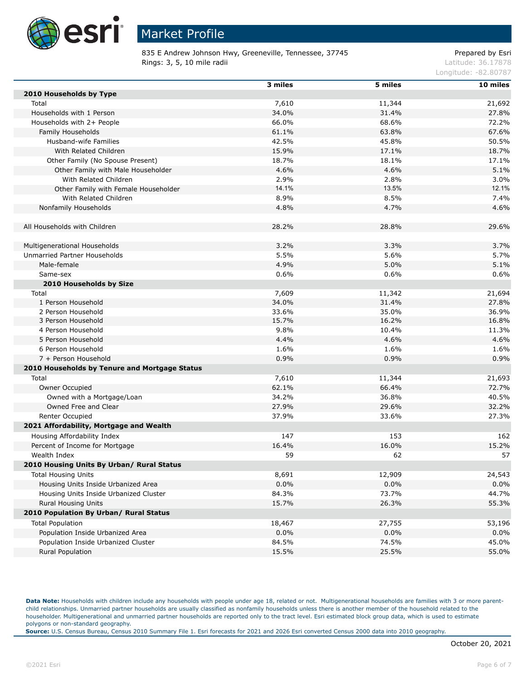

835 E Andrew Johnson Hwy, Greeneville, Tennessee, 37745 Prepared by Esri Rings: 3, 5, 10 mile radii and the contract of the contract of the contract of the contract of the contract of the contract of the contract of the contract of the contract of the contract of the contract of the contract of

Longitude: -82.80787

|                                               | 3 miles | 5 miles | 10 miles |
|-----------------------------------------------|---------|---------|----------|
| 2010 Households by Type                       |         |         |          |
| Total                                         | 7,610   | 11,344  | 21,692   |
| Households with 1 Person                      | 34.0%   | 31.4%   | 27.8%    |
| Households with 2+ People                     | 66.0%   | 68.6%   | 72.2%    |
| Family Households                             | 61.1%   | 63.8%   | 67.6%    |
| Husband-wife Families                         | 42.5%   | 45.8%   | 50.5%    |
| With Related Children                         | 15.9%   | 17.1%   | 18.7%    |
| Other Family (No Spouse Present)              | 18.7%   | 18.1%   | 17.1%    |
| Other Family with Male Householder            | 4.6%    | 4.6%    | 5.1%     |
| With Related Children                         | 2.9%    | 2.8%    | 3.0%     |
| Other Family with Female Householder          | 14.1%   | 13.5%   | 12.1%    |
| With Related Children                         | 8.9%    | 8.5%    | 7.4%     |
| Nonfamily Households                          | 4.8%    | 4.7%    | 4.6%     |
|                                               |         |         |          |
| All Households with Children                  | 28.2%   | 28.8%   | 29.6%    |
|                                               |         |         |          |
| Multigenerational Households                  | 3.2%    | 3.3%    | 3.7%     |
| Unmarried Partner Households                  | 5.5%    | 5.6%    | 5.7%     |
| Male-female                                   | 4.9%    | 5.0%    | 5.1%     |
| Same-sex                                      | 0.6%    | 0.6%    | 0.6%     |
| 2010 Households by Size                       |         |         |          |
| Total                                         | 7,609   | 11,342  | 21,694   |
| 1 Person Household                            | 34.0%   | 31.4%   | 27.8%    |
| 2 Person Household                            | 33.6%   | 35.0%   | 36.9%    |
| 3 Person Household                            | 15.7%   | 16.2%   | 16.8%    |
| 4 Person Household                            | 9.8%    | 10.4%   | 11.3%    |
| 5 Person Household                            | 4.4%    | 4.6%    | 4.6%     |
| 6 Person Household                            | 1.6%    | 1.6%    | 1.6%     |
| 7 + Person Household                          | 0.9%    | 0.9%    | 0.9%     |
| 2010 Households by Tenure and Mortgage Status |         |         |          |
|                                               |         |         |          |
| Total                                         | 7,610   | 11,344  | 21,693   |
| Owner Occupied                                | 62.1%   | 66.4%   | 72.7%    |
| Owned with a Mortgage/Loan                    | 34.2%   | 36.8%   | 40.5%    |
| Owned Free and Clear                          | 27.9%   | 29.6%   | 32.2%    |
| Renter Occupied                               | 37.9%   | 33.6%   | 27.3%    |
| 2021 Affordability, Mortgage and Wealth       |         |         |          |
| Housing Affordability Index                   | 147     | 153     | 162      |
| Percent of Income for Mortgage                | 16.4%   | 16.0%   | 15.2%    |
| Wealth Index                                  | 59      | 62      | 57       |
| 2010 Housing Units By Urban/ Rural Status     |         |         |          |
| <b>Total Housing Units</b>                    | 8,691   | 12,909  | 24,543   |
| Housing Units Inside Urbanized Area           | 0.0%    | 0.0%    | 0.0%     |
| Housing Units Inside Urbanized Cluster        | 84.3%   | 73.7%   | 44.7%    |
| Rural Housing Units                           | 15.7%   | 26.3%   | 55.3%    |
| 2010 Population By Urban/ Rural Status        |         |         |          |
| <b>Total Population</b>                       | 18,467  | 27,755  | 53,196   |
| Population Inside Urbanized Area              | $0.0\%$ | 0.0%    | 0.0%     |
| Population Inside Urbanized Cluster           | 84.5%   | 74.5%   | 45.0%    |
| Rural Population                              | 15.5%   | 25.5%   | 55.0%    |

Data Note: Households with children include any households with people under age 18, related or not. Multigenerational households are families with 3 or more parentchild relationships. Unmarried partner households are usually classified as nonfamily households unless there is another member of the household related to the householder. Multigenerational and unmarried partner households are reported only to the tract level. Esri estimated block group data, which is used to estimate polygons or non-standard geography.